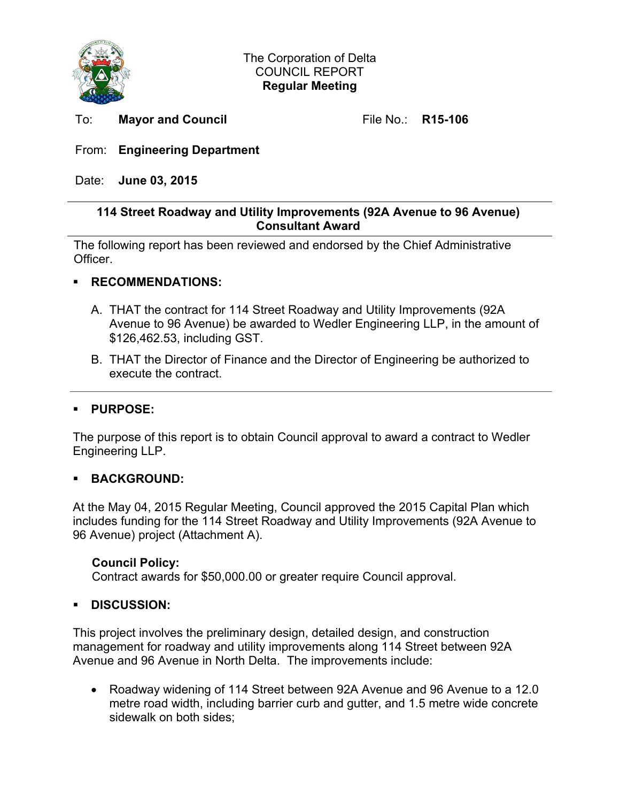

To: **Mayor and Council File No.: R15-106** 

# From: **Engineering Department**

Date: **June 03, 2015** 

### **114 Street Roadway and Utility Improvements (92A Avenue to 96 Avenue) Consultant Award**

The following report has been reviewed and endorsed by the Chief Administrative Officer.

### **RECOMMENDATIONS:**

- A. THAT the contract for 114 Street Roadway and Utility Improvements (92A Avenue to 96 Avenue) be awarded to Wedler Engineering LLP, in the amount of \$126,462.53, including GST.
- B. THAT the Director of Finance and the Director of Engineering be authorized to execute the contract.

## **PURPOSE:**

The purpose of this report is to obtain Council approval to award a contract to Wedler Engineering LLP.

#### **BACKGROUND:**

At the May 04, 2015 Regular Meeting, Council approved the 2015 Capital Plan which includes funding for the 114 Street Roadway and Utility Improvements (92A Avenue to 96 Avenue) project (Attachment A).

#### **Council Policy:**

Contract awards for \$50,000.00 or greater require Council approval.

#### **DISCUSSION:**

This project involves the preliminary design, detailed design, and construction management for roadway and utility improvements along 114 Street between 92A Avenue and 96 Avenue in North Delta. The improvements include:

• Roadway widening of 114 Street between 92A Avenue and 96 Avenue to a 12.0 metre road width, including barrier curb and gutter, and 1.5 metre wide concrete sidewalk on both sides;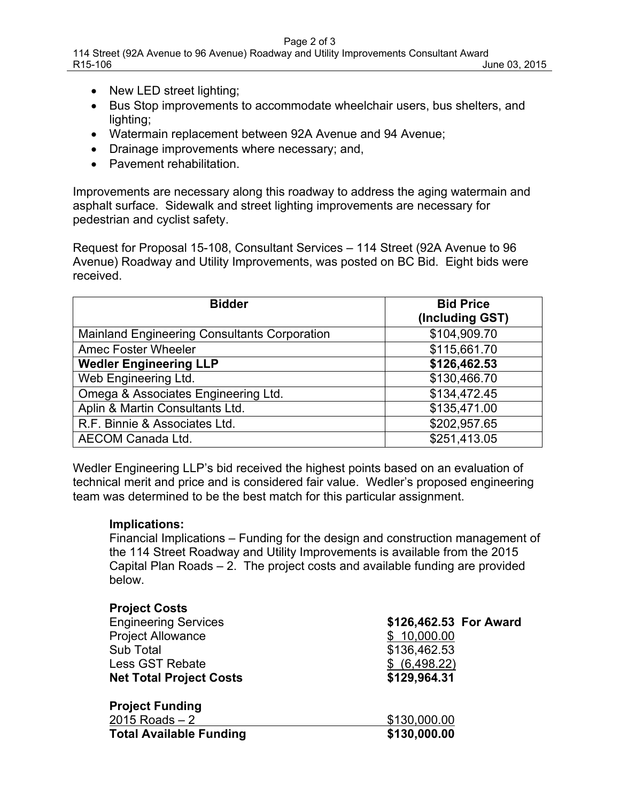- New LED street lighting;
- Bus Stop improvements to accommodate wheelchair users, bus shelters, and lighting;
- Watermain replacement between 92A Avenue and 94 Avenue;
- Drainage improvements where necessary; and,
- Pavement rehabilitation

Improvements are necessary along this roadway to address the aging watermain and asphalt surface. Sidewalk and street lighting improvements are necessary for pedestrian and cyclist safety.

Request for Proposal 15-108, Consultant Services – 114 Street (92A Avenue to 96 Avenue) Roadway and Utility Improvements, was posted on BC Bid. Eight bids were received.

| <b>Bidder</b>                                       | <b>Bid Price</b><br>(Including GST) |
|-----------------------------------------------------|-------------------------------------|
| <b>Mainland Engineering Consultants Corporation</b> | \$104,909.70                        |
| <b>Amec Foster Wheeler</b>                          | \$115,661.70                        |
| <b>Wedler Engineering LLP</b>                       | \$126,462.53                        |
| Web Engineering Ltd.                                | \$130,466.70                        |
| Omega & Associates Engineering Ltd.                 | \$134,472.45                        |
| Aplin & Martin Consultants Ltd.                     | \$135,471.00                        |
| R.F. Binnie & Associates Ltd.                       | \$202,957.65                        |
| AECOM Canada Ltd.                                   | \$251,413.05                        |

Wedler Engineering LLP's bid received the highest points based on an evaluation of technical merit and price and is considered fair value. Wedler's proposed engineering team was determined to be the best match for this particular assignment.

#### **Implications:**

Financial Implications – Funding for the design and construction management of the 114 Street Roadway and Utility Improvements is available from the 2015 Capital Plan Roads – 2. The project costs and available funding are provided below.

#### **Project Costs**

| <b>Engineering Services</b>    | \$126,462.53 For Award |  |  |
|--------------------------------|------------------------|--|--|
| <b>Project Allowance</b>       | \$10,000.00            |  |  |
| Sub Total                      | \$136,462.53           |  |  |
| <b>Less GST Rebate</b>         | \$ (6,498.22)          |  |  |
| <b>Net Total Project Costs</b> | \$129,964.31           |  |  |
| <b>Project Funding</b>         |                        |  |  |
| $2015$ Roads $-2$              | \$130,000.00           |  |  |
| <b>Total Available Funding</b> | \$130,000.00           |  |  |